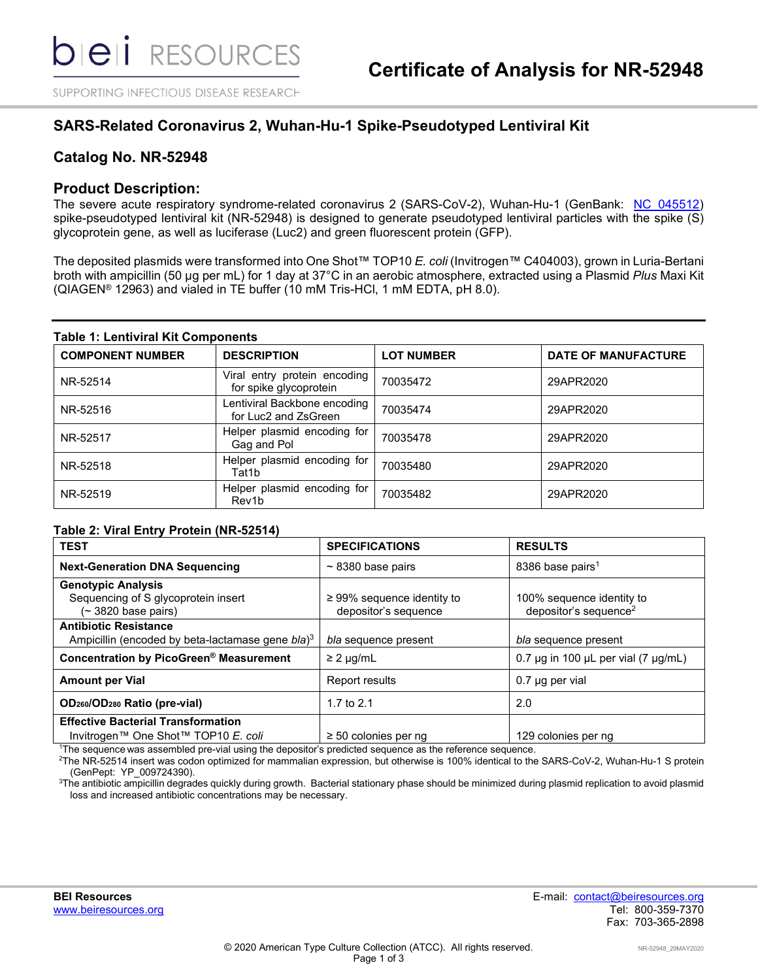SUPPORTING INFECTIOUS DISEASE RESEARCH

## **SARS-Related Coronavirus 2, Wuhan-Hu-1 Spike-Pseudotyped Lentiviral Kit**

## **Catalog No. NR-52948**

## **Product Description:**

The severe acute respiratory syndrome-related coronavirus 2 (SARS-CoV-2), Wuhan-Hu-1 (GenBank: [NC\\_045512\)](https://www.ncbi.nlm.nih.gov/nuccore/NC_045512.2/) spike-pseudotyped lentiviral kit (NR-52948) is designed to generate pseudotyped lentiviral particles with the spike (S) glycoprotein gene, as well as luciferase (Luc2) and green fluorescent protein (GFP).

The deposited plasmids were transformed into One Shot™ TOP10 *E. coli* (Invitrogen™ C404003), grown in Luria-Bertani broth with ampicillin (50 µg per mL) for 1 day at 37°C in an aerobic atmosphere, extracted using a Plasmid *Plus* Maxi Kit (QIAGEN® 12963) and vialed in TE buffer (10 mM Tris-HCl, 1 mM EDTA, pH 8.0).

#### **Table 1: Lentiviral Kit Components**

| <b>COMPONENT NUMBER</b> | <b>DESCRIPTION</b>                                     | <b>LOT NUMBER</b> | <b>DATE OF MANUFACTURE</b> |
|-------------------------|--------------------------------------------------------|-------------------|----------------------------|
| NR-52514                | Viral entry protein encoding<br>for spike glycoprotein | 70035472          | 29APR2020                  |
| NR-52516                | Lentiviral Backbone encoding<br>for Luc2 and ZsGreen   | 70035474          | 29APR2020                  |
| NR-52517                | Helper plasmid encoding for<br>Gag and Pol             | 70035478          | 29APR2020                  |
| NR-52518                | Helper plasmid encoding for<br>Tat1b                   | 70035480          | 29APR2020                  |
| NR-52519                | Helper plasmid encoding for<br>Rev1b                   | 70035482          | 29APR2020                  |

### **Table 2: Viral Entry Protein (NR-52514)**

| <b>SPECIFICATIONS</b>                                        | <b>RESULTS</b>                                                                                             |
|--------------------------------------------------------------|------------------------------------------------------------------------------------------------------------|
| $\sim$ 8380 base pairs                                       | 8386 base pairs <sup>1</sup>                                                                               |
| $\geq$ 99% sequence identity to<br>depositor's sequence      | 100% sequence identity to<br>depositor's sequence <sup>2</sup>                                             |
| bla sequence present                                         | bla sequence present                                                                                       |
| $\geq$ 2 µg/mL                                               | 0.7 $\mu$ q in 100 $\mu$ L per vial (7 $\mu$ q/mL)                                                         |
| Report results                                               | $0.7$ µg per vial                                                                                          |
| 1.7 to $2.1$                                                 | 2.0                                                                                                        |
|                                                              |                                                                                                            |
| $\geq 50$ colonies per ng                                    | 129 colonies per ng                                                                                        |
| Ampicillin (encoded by beta-lactamase gene bla) <sup>3</sup> | $1$ The sequence was assembled pre-vial using the depositor's predicted sequence as the reference sequence |

The sequence was assembled pre-vial using the depositor's predicted sequence as the reference sequence.

2 The NR-52514 insert was codon optimized for mammalian expression, but otherwise is 100% identical to the SARS-CoV-2, Wuhan-Hu-1 S protein (GenPept: YP\_009724390).

 $^3$ The antibiotic ampicillin degrades quickly during growth. Bacterial stationary phase should be minimized during plasmid replication to avoid plasmid loss and increased antibiotic concentrations may be necessary.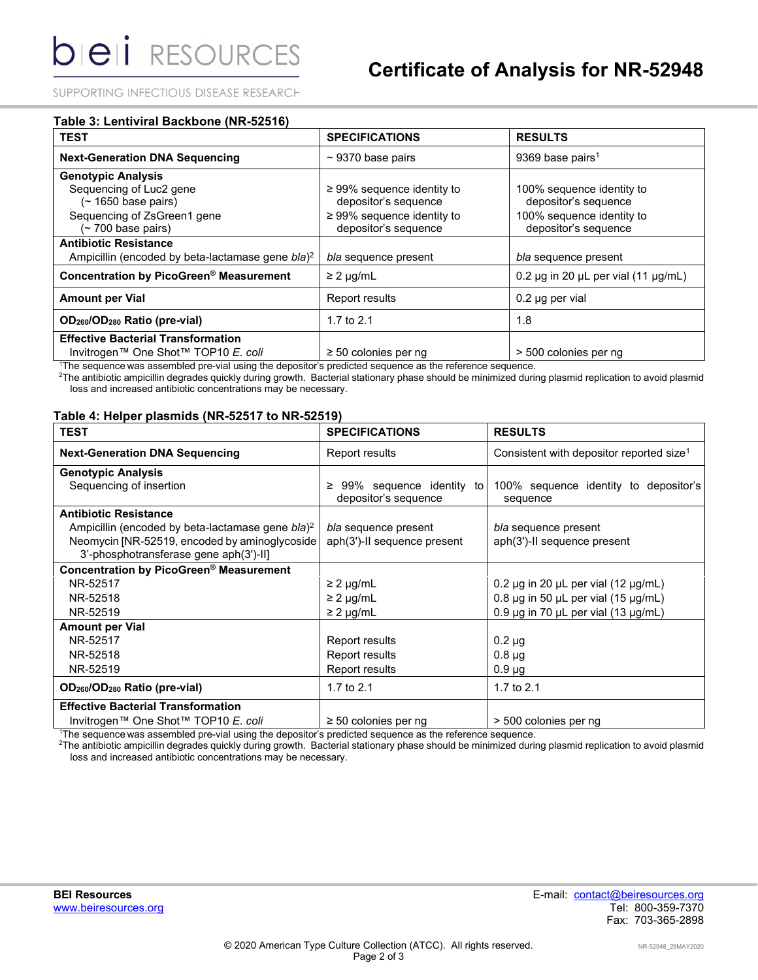SUPPORTING INFECTIOUS DISEASE RESEARCH

| Table 3: Lentiviral Backbone (NR-52516)                      |                                 |                                                    |  |  |
|--------------------------------------------------------------|---------------------------------|----------------------------------------------------|--|--|
| <b>TEST</b>                                                  | <b>SPECIFICATIONS</b>           | <b>RESULTS</b>                                     |  |  |
| <b>Next-Generation DNA Sequencing</b>                        | $\sim$ 9370 base pairs          | 9369 base pairs <sup>1</sup>                       |  |  |
| <b>Genotypic Analysis</b>                                    |                                 |                                                    |  |  |
| Sequencing of Luc2 gene                                      | $\geq$ 99% sequence identity to | 100% sequence identity to                          |  |  |
| $($ ~ 1650 base pairs)                                       | depositor's sequence            | depositor's sequence                               |  |  |
| Sequencing of ZsGreen1 gene                                  | $\geq$ 99% sequence identity to | 100% sequence identity to                          |  |  |
| (~700 base pairs)                                            | depositor's sequence            | depositor's sequence                               |  |  |
| <b>Antibiotic Resistance</b>                                 |                                 |                                                    |  |  |
| Ampicillin (encoded by beta-lactamase gene bla) <sup>2</sup> | bla sequence present            | bla sequence present                               |  |  |
| Concentration by PicoGreen® Measurement                      | $\geq$ 2 µg/mL                  | 0.2 $\mu$ g in 20 $\mu$ L per vial (11 $\mu$ g/mL) |  |  |
| <b>Amount per Vial</b>                                       | <b>Report results</b>           | $0.2$ µg per vial                                  |  |  |
| OD <sub>260</sub> /OD <sub>280</sub> Ratio (pre-vial)        | 1.7 to $2.1$                    | 1.8                                                |  |  |
| <b>Effective Bacterial Transformation</b>                    |                                 |                                                    |  |  |
| Invitrogen™ One Shot™ TOP10 E. coli                          | $\geq$ 50 colonies per ng       | > 500 colonies per ng                              |  |  |

1 The sequence was assembled pre-vial using the depositor's predicted sequence as the reference sequence.

2 The antibiotic ampicillin degrades quickly during growth. Bacterial stationary phase should be minimized during plasmid replication to avoid plasmid loss and increased antibiotic concentrations may be necessary.

#### **Table 4: Helper plasmids (NR-52517 to NR-52519)**

| <b>TEST</b>                                                  | <b>SPECIFICATIONS</b>                                 | <b>RESULTS</b>                                       |
|--------------------------------------------------------------|-------------------------------------------------------|------------------------------------------------------|
| <b>Next-Generation DNA Sequencing</b>                        | Report results                                        | Consistent with depositor reported size <sup>1</sup> |
| <b>Genotypic Analysis</b>                                    |                                                       |                                                      |
| Sequencing of insertion                                      | 99% sequence identity to<br>≥<br>depositor's sequence | 100% sequence identity to depositor's<br>sequence    |
| <b>Antibiotic Resistance</b>                                 |                                                       |                                                      |
| Ampicillin (encoded by beta-lactamase gene bla) <sup>2</sup> | bla sequence present                                  | bla sequence present                                 |
| Neomycin [NR-52519, encoded by aminoglycoside                | aph(3')-II sequence present                           | aph(3')-II sequence present                          |
| 3'-phosphotransferase gene aph(3')-II]                       |                                                       |                                                      |
| Concentration by PicoGreen® Measurement                      |                                                       |                                                      |
| NR-52517                                                     | $\geq$ 2 µg/mL                                        | 0.2 $\mu$ g in 20 $\mu$ L per vial (12 $\mu$ g/mL)   |
| NR-52518                                                     | $\geq$ 2 µg/mL                                        | 0.8 $\mu$ g in 50 $\mu$ L per vial (15 $\mu$ g/mL)   |
| NR-52519                                                     | $\geq$ 2 µg/mL                                        | 0.9 $\mu$ g in 70 $\mu$ L per vial (13 $\mu$ g/mL)   |
| <b>Amount per Vial</b>                                       |                                                       |                                                      |
| NR-52517                                                     | Report results                                        | $0.2 \mu$ g                                          |
| NR-52518                                                     | Report results                                        | $0.8 \mu$ g                                          |
| NR-52519                                                     | Report results                                        | $0.9 \mu g$                                          |
| OD <sub>260</sub> /OD <sub>280</sub> Ratio (pre-vial)        | 1.7 to 2.1                                            | 1.7 to 2.1                                           |
| <b>Effective Bacterial Transformation</b>                    |                                                       |                                                      |
| Invitrogen™ One Shot™ TOP10 E. coli                          | $\geq$ 50 colonies per ng                             | > 500 colonies per ng                                |

1 The sequence was assembled pre-vial using the depositor's predicted sequence as the reference sequence.

2 The antibiotic ampicillin degrades quickly during growth. Bacterial stationary phase should be minimized during plasmid replication to avoid plasmid loss and increased antibiotic concentrations may be necessary.